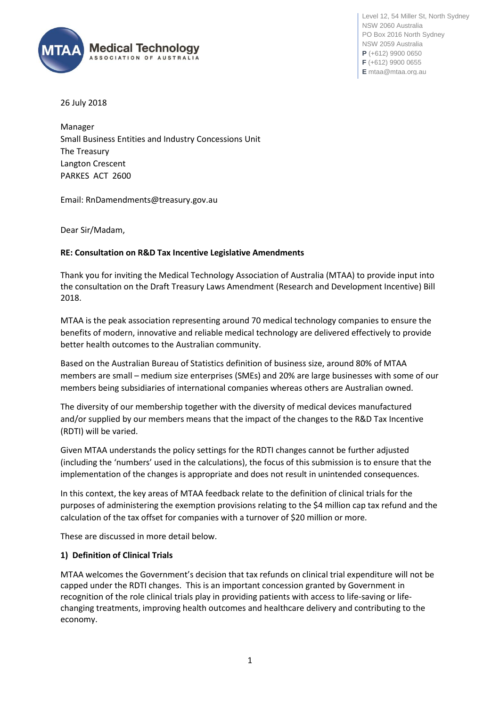

Level 12, 54 Miller St, North Sydney NSW 2060 Australia PO Box 2016 North Sydney NSW 2059 Australia **P** (+612) 9900 0650 **F** (+612) 9900 0655 **E** mtaa@mtaa.org.au

26 July 2018

Manager Small Business Entities and Industry Concessions Unit The Treasury Langton Crescent PARKES ACT 2600

Email: RnDamendments@treasury.gov.au

Dear Sir/Madam,

## **RE: Consultation on R&D Tax Incentive Legislative Amendments**

Thank you for inviting the Medical Technology Association of Australia (MTAA) to provide input into the consultation on the Draft Treasury Laws Amendment (Research and Development Incentive) Bill 2018.

MTAA is the peak association representing around 70 medical technology companies to ensure the benefits of modern, innovative and reliable medical technology are delivered effectively to provide better health outcomes to the Australian community.

Based on the Australian Bureau of Statistics definition of business size, around 80% of MTAA members are small – medium size enterprises (SMEs) and 20% are large businesses with some of our members being subsidiaries of international companies whereas others are Australian owned.

The diversity of our membership together with the diversity of medical devices manufactured and/or supplied by our members means that the impact of the changes to the R&D Tax Incentive (RDTI) will be varied.

Given MTAA understands the policy settings for the RDTI changes cannot be further adjusted (including the 'numbers' used in the calculations), the focus of this submission is to ensure that the implementation of the changes is appropriate and does not result in unintended consequences.

In this context, the key areas of MTAA feedback relate to the definition of clinical trials for the purposes of administering the exemption provisions relating to the \$4 million cap tax refund and the calculation of the tax offset for companies with a turnover of \$20 million or more.

These are discussed in more detail below.

## **1) Definition of Clinical Trials**

MTAA welcomes the Government's decision that tax refunds on clinical trial expenditure will not be capped under the RDTI changes. This is an important concession granted by Government in recognition of the role clinical trials play in providing patients with access to life-saving or lifechanging treatments, improving health outcomes and healthcare delivery and contributing to the economy.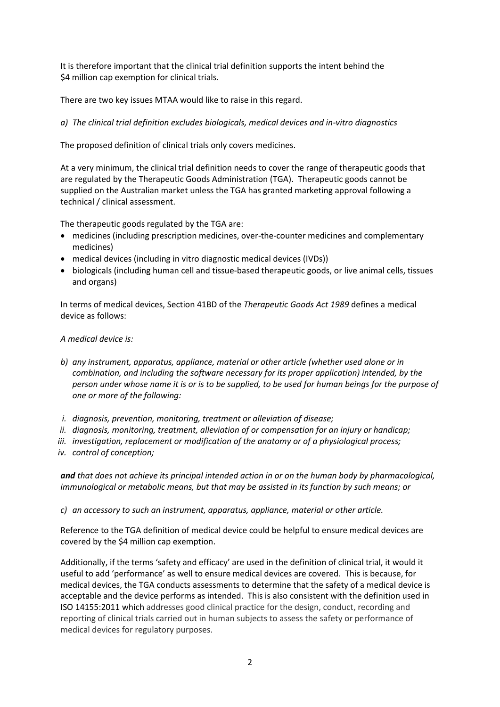It is therefore important that the clinical trial definition supports the intent behind the \$4 million cap exemption for clinical trials.

There are two key issues MTAA would like to raise in this regard.

*a) The clinical trial definition excludes biologicals, medical devices and in-vitro diagnostics* 

The proposed definition of clinical trials only covers medicines.

At a very minimum, the clinical trial definition needs to cover the range of therapeutic goods that are regulated by the Therapeutic Goods Administration (TGA). Therapeutic goods cannot be supplied on the Australian market unless the TGA has granted marketing approval following a technical / clinical assessment.

The therapeutic goods regulated by the TGA are:

- medicines (including prescription medicines, over-the-counter medicines and complementary medicines)
- medical devices (including in vitro diagnostic medical devices (IVDs))
- biologicals (including human cell and tissue-based therapeutic goods, or live animal cells, tissues and organs)

In terms of medical devices, Section 41BD of the *Therapeutic Goods Act 1989* defines a medical device as follows:

*A medical device is:* 

- *b) any instrument, apparatus, appliance, material or other article (whether used alone or in combination, and including the software necessary for its proper application) intended, by the person under whose name it is or is to be supplied, to be used for human beings for the purpose of one or more of the following:*
- *i. diagnosis, prevention, monitoring, treatment or alleviation of disease;*
- *ii. diagnosis, monitoring, treatment, alleviation of or compensation for an injury or handicap;*
- *iii. investigation, replacement or modification of the anatomy or of a physiological process;*

*iv. control of conception;*

*and that does not achieve its principal intended action in or on the human body by pharmacological, immunological or metabolic means, but that may be assisted in its function by such means; or*

*c) an accessory to such an instrument, apparatus, appliance, material or other article.*

Reference to the TGA definition of medical device could be helpful to ensure medical devices are covered by the \$4 million cap exemption.

Additionally, if the terms 'safety and efficacy' are used in the definition of clinical trial, it would it useful to add 'performance' as well to ensure medical devices are covered. This is because, for medical devices, the TGA conducts assessments to determine that the safety of a medical device is acceptable and the device performs as intended. This is also consistent with the definition used in ISO 14155:2011 which addresses good clinical practice for the design, conduct, recording and reporting of clinical trials carried out in human subjects to assess the safety or performance of medical devices for regulatory purposes.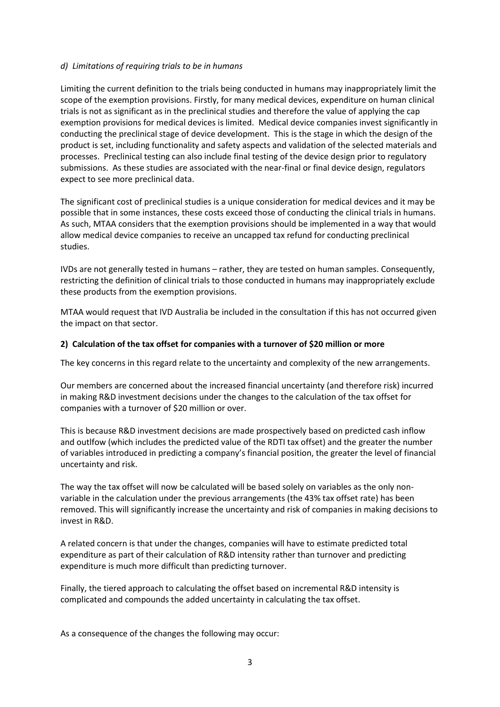## *d) Limitations of requiring trials to be in humans*

Limiting the current definition to the trials being conducted in humans may inappropriately limit the scope of the exemption provisions. Firstly, for many medical devices, expenditure on human clinical trials is not as significant as in the preclinical studies and therefore the value of applying the cap exemption provisions for medical devices is limited. Medical device companies invest significantly in conducting the preclinical stage of device development. This is the stage in which the design of the product is set, including functionality and safety aspects and validation of the selected materials and processes. Preclinical testing can also include final testing of the device design prior to regulatory submissions. As these studies are associated with the near-final or final device design, regulators expect to see more preclinical data.

The significant cost of preclinical studies is a unique consideration for medical devices and it may be possible that in some instances, these costs exceed those of conducting the clinical trials in humans. As such, MTAA considers that the exemption provisions should be implemented in a way that would allow medical device companies to receive an uncapped tax refund for conducting preclinical studies.

IVDs are not generally tested in humans – rather, they are tested on human samples. Consequently, restricting the definition of clinical trials to those conducted in humans may inappropriately exclude these products from the exemption provisions.

MTAA would request that IVD Australia be included in the consultation if this has not occurred given the impact on that sector.

## **2) Calculation of the tax offset for companies with a turnover of \$20 million or more**

The key concerns in this regard relate to the uncertainty and complexity of the new arrangements.

Our members are concerned about the increased financial uncertainty (and therefore risk) incurred in making R&D investment decisions under the changes to the calculation of the tax offset for companies with a turnover of \$20 million or over.

This is because R&D investment decisions are made prospectively based on predicted cash inflow and outlfow (which includes the predicted value of the RDTI tax offset) and the greater the number of variables introduced in predicting a company's financial position, the greater the level of financial uncertainty and risk.

The way the tax offset will now be calculated will be based solely on variables as the only nonvariable in the calculation under the previous arrangements (the 43% tax offset rate) has been removed. This will significantly increase the uncertainty and risk of companies in making decisions to invest in R&D.

A related concern is that under the changes, companies will have to estimate predicted total expenditure as part of their calculation of R&D intensity rather than turnover and predicting expenditure is much more difficult than predicting turnover.

Finally, the tiered approach to calculating the offset based on incremental R&D intensity is complicated and compounds the added uncertainty in calculating the tax offset.

As a consequence of the changes the following may occur: